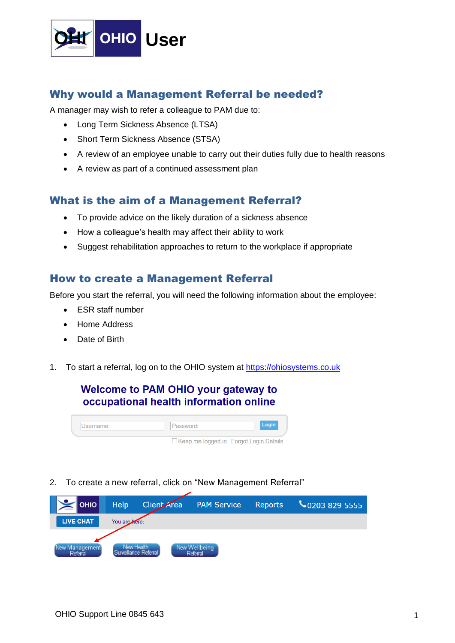

## Why would a Management Referral be needed?

A manager may wish to refer a colleague to PAM due to:

- Long Term Sickness Absence (LTSA)
- Short Term Sickness Absence (STSA)
- A review of an employee unable to carry out their duties fully due to health reasons
- A review as part of a continued assessment plan

## What is the aim of a Management Referral?

- To provide advice on the likely duration of a sickness absence
- How a colleague's health may affect their ability to work
- Suggest rehabilitation approaches to return to the workplace if appropriate

## How to create a Management Referral

Before you start the referral, you will need the following information about the employee:

- ESR staff number
- Home Address
- Date of Birth
- 1. To start a referral, log on to the OHIO system at [https://ohiosystems.co.uk](https://ohiosystems.co.uk/)

## **Welcome to PAM OHIO your gateway to** occupational health information online

| Jsername: | Password:                                |  |
|-----------|------------------------------------------|--|
|           | □ Keep me logged in Forgot Login Details |  |

2. To create a new referral, click on "New Management Referral"

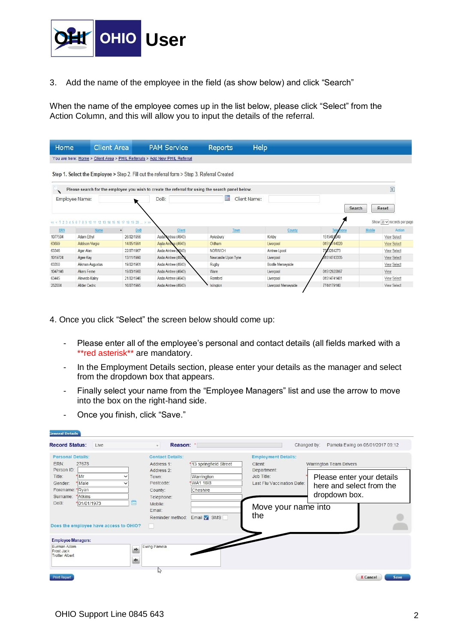

3. Add the name of the employee in the field (as show below) and click "Search"

When the name of the employee comes up in the list below, please click "Select" from the Action Column, and this will allow you to input the details of the referral.

| Home                                                              |                       | <b>Client Area</b>   | <b>PAM Service</b>                                                                          | Help<br>Reports                                                                                  |                   |             |               |                                                                 |
|-------------------------------------------------------------------|-----------------------|----------------------|---------------------------------------------------------------------------------------------|--------------------------------------------------------------------------------------------------|-------------------|-------------|---------------|-----------------------------------------------------------------|
|                                                                   |                       |                      | You are here: Home > Client Area > PHIL Referrals > Add New PHIL Referral                   |                                                                                                  |                   |             |               |                                                                 |
|                                                                   |                       |                      | Step 1. Select the Employee > Step 2. Fill out the referral form > Step 3. Referral Created |                                                                                                  |                   |             |               |                                                                 |
|                                                                   |                       |                      |                                                                                             | Please search for the employee you wish to create the referral for using the search panel below. |                   |             |               | <b>E</b>                                                        |
|                                                                   | Employee Name:        |                      | DoB:                                                                                        | m<br>Client Name:                                                                                |                   |             |               |                                                                 |
|                                                                   |                       |                      |                                                                                             |                                                                                                  |                   | Search      |               | Reset                                                           |
|                                                                   |                       |                      |                                                                                             |                                                                                                  |                   |             |               |                                                                 |
| ERN                                                               | Name                  | DoB<br>$\rightarrow$ | Client                                                                                      | Town                                                                                             | County            | Te          | <b>Mobile</b> |                                                                 |
|                                                                   | Adam Ethyl            | 26/02/1956           | Asda Aintree (4643)                                                                         | Aylesbury                                                                                        | Kirkby            | 1515491249  |               | View Select                                                     |
|                                                                   | <b>Addison Vergie</b> | 14/05/1991           | Asda Aintree (4643)                                                                         | Oldham                                                                                           | Liverpool         | 01514744020 |               | <b>View Select</b>                                              |
|                                                                   | Agar Alan             | 22/07/1967           | Asda Aintree (4643)                                                                         | <b>NORWICH</b>                                                                                   | Aintree Lpool     | 7523284273  |               | <b>View Select</b>                                              |
|                                                                   | Agee Kay              | 13/11/1990           | Asda Aintree (4643)                                                                         | Newcastle Upon Tyne                                                                              | Liverpool         | 1514743335  |               | <b>View Select</b>                                              |
|                                                                   | Aikman Augustus       | 19/02/1961           | Asda Aintree (4643)                                                                         | Rugby                                                                                            | Bootle Merseyside |             |               | View Select                                                     |
|                                                                   | Akers Ferne           | 19/03/1960           | Asda Aintree (4643)                                                                         | Ware                                                                                             | Liverpool         | 01512920867 |               | View                                                            |
| 1077504<br>63699<br>63346<br>1019724<br>63350<br>1047146<br>63445 | Alevedo Kalev         | 21/02/1946           | Asda Aintree (4643)                                                                         | Romford                                                                                          | Liverpool         | 01514741481 |               | Show $20 \vee$ records per page<br>Action<br><b>View Select</b> |

4. Once you click "Select" the screen below should come up:

- Please enter all of the employee's personal and contact details (all fields marked with a \*\*red asterisk\*\* are mandatory.
- In the Employment Details section, please enter your details as the manager and select from the dropdown box that appears.
- Finally select your name from the "Employee Managers" list and use the arrow to move into the box on the right-hand side.

|  |  |  |  |  | Once you finish, click "Save." |  |
|--|--|--|--|--|--------------------------------|--|
|--|--|--|--|--|--------------------------------|--|

| General Details                                    |                                     |                                                        |
|----------------------------------------------------|-------------------------------------|--------------------------------------------------------|
| <b>Record Status:</b><br>Live                      | Reason: *<br>$\mathbf{v}$           | Pamela Ewing on 05/01/2017 09:12<br>Changed by:        |
| <b>Personal Details:</b>                           | <b>Contact Details:</b>             | <b>Employment Details:</b>                             |
| 27678<br>ERN:                                      | 13 springfield Street<br>Address 1: | <b>Warrington Team Drivers</b><br>Client:              |
| Person ID:                                         | Address 2:                          | Department:                                            |
| *Mr<br>Title:                                      | Warrington<br>Town:                 | Job Title:<br>Please enter your details                |
| Male<br>Gender:                                    | Postcode:<br>WA1 1BB                | Last Flu Vaccination Date:<br>here and select from the |
| Forename: * Ryan                                   | Cheshire<br>County:                 |                                                        |
| *Atkins<br>Surname:                                | Telephone:                          | dropdown box.                                          |
| DoB:<br>*01/01/1973<br>Don                         | Mobile:                             |                                                        |
|                                                    | Email:                              | Move your name into                                    |
|                                                    | Email SMS<br>Reminder method:       | the                                                    |
|                                                    |                                     |                                                        |
| Does the employee have access to OHIO?             |                                     |                                                        |
| <b>Employee Managers:</b>                          |                                     |                                                        |
| Burman Adam<br>Frost Jack<br><b>Trotter Albert</b> | Ewing Pamela<br>٠                   |                                                        |
|                                                    | h <sub>2</sub>                      |                                                        |
| <b>Print Report</b>                                |                                     | <b>X</b> Cancel<br>Save                                |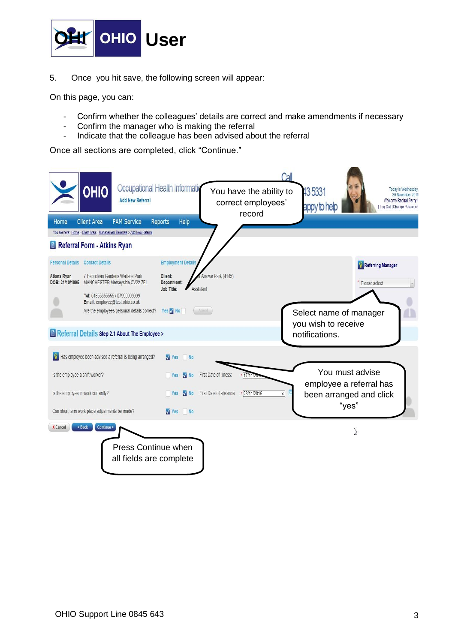

5. Once you hit save, the following screen will appear:

On this page, you can:

- Confirm whether the colleagues' details are correct and make amendments if necessary
- Confirm the manager who is making the referral
- Indicate that the colleague has been advised about the referral

Once all sections are completed, click "Continue."

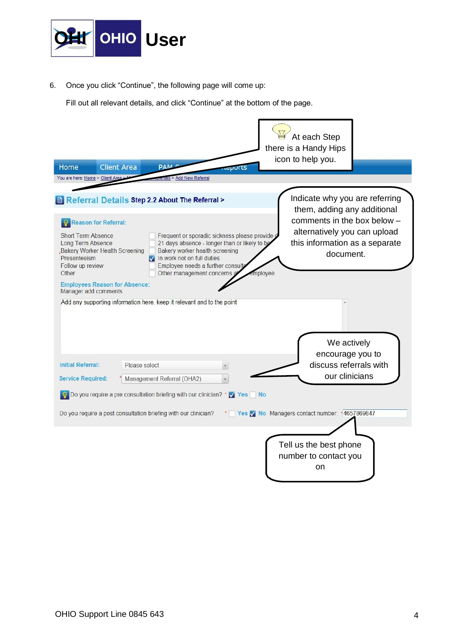

6. Once you click "Continue", the following page will come up:

Fill out all relevant details, and click "Continue" at the bottom of the page.

| Home                                                                                        | <b>Client Area</b>                                            | PAM <sup>c</sup>                                                                                                                                                                                                                     | eports |         | At each Step<br>there is a Handy Hips<br>icon to help you.                                                 |  |
|---------------------------------------------------------------------------------------------|---------------------------------------------------------------|--------------------------------------------------------------------------------------------------------------------------------------------------------------------------------------------------------------------------------------|--------|---------|------------------------------------------------------------------------------------------------------------|--|
| You are here: Home > Client Area >                                                          |                                                               | Tals > Add New Referral                                                                                                                                                                                                              |        |         |                                                                                                            |  |
|                                                                                             |                                                               | Referral Details Step 2.2 About The Referral >                                                                                                                                                                                       |        |         | Indicate why you are referring<br>them, adding any additional                                              |  |
| <b>Short Term Absence</b><br>Long Term Absence<br>Presenteeism<br>Follow up review<br>Other | <b>Reason for Referral:</b><br>Bakery Worker Health Screening | Frequent or sporadic sickness please provide d<br>21 days absence - longer than or likely to be<br>Bakery worker health screening<br>In work not on full duties<br>Employee needs a further consulta<br>Other management concerns at |        | mplovee | comments in the box below -<br>alternatively you can upload<br>this information as a separate<br>document. |  |
| Manager add comments                                                                        | <b>Employees Reason for Absence:</b>                          |                                                                                                                                                                                                                                      |        |         |                                                                                                            |  |
| Initial Referral:                                                                           | Please select                                                 | Add any supporting information here, keep it relevant and to the point                                                                                                                                                               |        |         | We actively<br>encourage you to<br>discuss referrals with                                                  |  |
| <b>Service Required:</b>                                                                    |                                                               | Management Referral (OHA2)                                                                                                                                                                                                           |        |         | our clinicians                                                                                             |  |
|                                                                                             |                                                               | So Do you require a pre consultation briefing with our clinician? * √ Yes No                                                                                                                                                         |        |         |                                                                                                            |  |
|                                                                                             |                                                               | Do you require a post consultation briefing with our clinician?                                                                                                                                                                      |        |         | * Yes Y No Managers contact number: * 4657869847<br>Tell us the best phone                                 |  |
|                                                                                             |                                                               |                                                                                                                                                                                                                                      |        |         | number to contact you<br>on                                                                                |  |